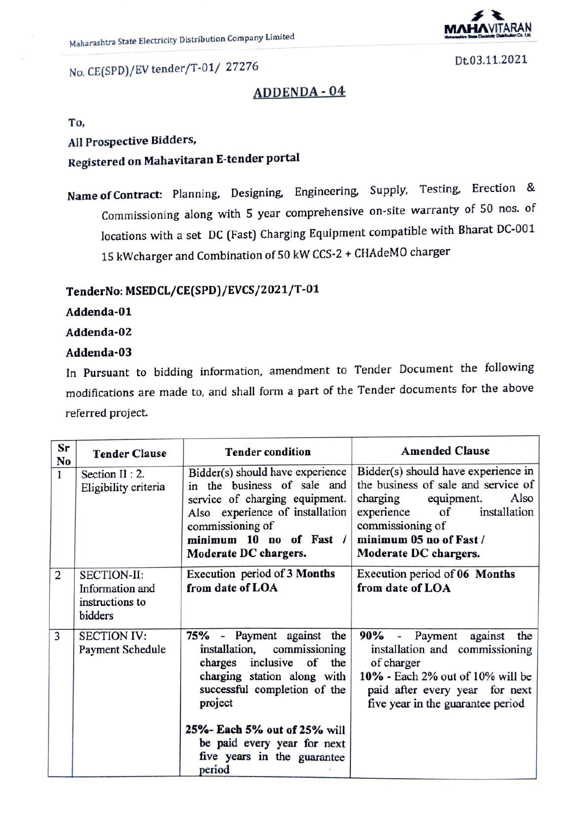

No. CE(SPD)/EV tender/T-01/ <sup>27276</sup>

Dt.03.11.2021

### ADDENDA -04

To,

All Prospective Bidders,

# Registered on Mahavitaran E-tender portal

Name of Contract: Planning, Designing, Engineering, Supply, Testing. Erection & Commissioning along with 5 year comprehensive on-site warranty of 50 nos. of locations with a set DC (Fast) Charging Equipment compatible with Bharat DC-001 15 kWcharger and Combination of 50 kW CCS-2+ CHAdeMO charger

## TenderNo: MSEDCL/CE(SPD)/EVCS/2021/T-01

#### Addenda-01

#### Addenda-02

#### Addenda-03

In Pursuant to bidding information, amendment to Tender Document the following modifications are made to, and shall form a part of the Tender documents for the above referred project.

| Sr<br>No | <b>Tender Clause</b>                                                | <b>Tender condition</b>                                                                                                                                                                                                                                                      | <b>Amended Clause</b>                                                                                                                                                                                                           |
|----------|---------------------------------------------------------------------|------------------------------------------------------------------------------------------------------------------------------------------------------------------------------------------------------------------------------------------------------------------------------|---------------------------------------------------------------------------------------------------------------------------------------------------------------------------------------------------------------------------------|
| 1        | Section II : 2.<br>Eligibility criteria                             | Bidder(s) should have experience<br>in the business of sale and<br>service of charging equipment.<br>Also experience of installation<br>commissioning of<br>minimum 10 no of Fast /<br>Moderate DC chargers.                                                                 | Bidder(s) should have experience in<br>the business of sale and service of<br>Also<br>charging<br>equipment.<br>installation<br>experience<br>$\circ$ f<br>commissioning of<br>minimum 05 no of Fast /<br>Moderate DC chargers. |
| 2        | <b>SECTION-II:</b><br>Information and<br>instructions to<br>bidders | Execution period of 3 Months<br>from date of LOA                                                                                                                                                                                                                             | Execution period of 06 Months<br>from date of LOA                                                                                                                                                                               |
| 3        | <b>SECTION IV:</b><br><b>Payment Schedule</b>                       | 75% - Payment against the<br>installation,<br>commissioning<br>charges inclusive of<br>the<br>charging station along with<br>successful completion of the<br>project<br>25%- Each 5% out of 25% will<br>be paid every year for next<br>five years in the guarantee<br>period | 90% - Payment against<br>the<br>installation and commissioning<br>of charger<br>10% - Each 2% out of 10% will be<br>paid after every year for next<br>five year in the guarantee period                                         |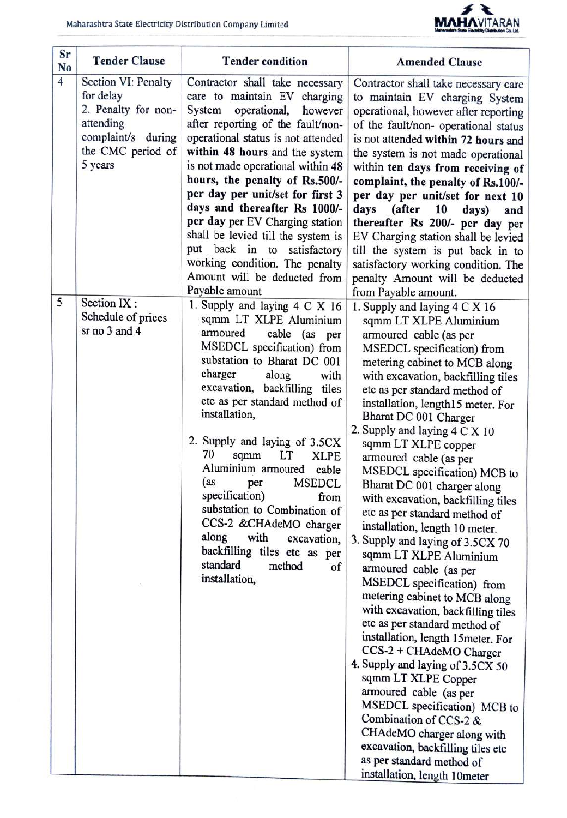

| Sr<br>N <sub>0</sub> | <b>Tender Clause</b>                                                                                                       | <b>Tender condition</b>                                                                                                                                                                                                                                                                                                                                                                                                                                                                                                                                                                                                  | <b>Amended Clause</b>                                                                                                                                                                                                                                                                                                                                                                                                                                                                                                                                                                                                                                                                                                                                                                                                                                                                                                                                                                                                                                                                                                                                |
|----------------------|----------------------------------------------------------------------------------------------------------------------------|--------------------------------------------------------------------------------------------------------------------------------------------------------------------------------------------------------------------------------------------------------------------------------------------------------------------------------------------------------------------------------------------------------------------------------------------------------------------------------------------------------------------------------------------------------------------------------------------------------------------------|------------------------------------------------------------------------------------------------------------------------------------------------------------------------------------------------------------------------------------------------------------------------------------------------------------------------------------------------------------------------------------------------------------------------------------------------------------------------------------------------------------------------------------------------------------------------------------------------------------------------------------------------------------------------------------------------------------------------------------------------------------------------------------------------------------------------------------------------------------------------------------------------------------------------------------------------------------------------------------------------------------------------------------------------------------------------------------------------------------------------------------------------------|
| $\overline{4}$       | Section VI: Penalty<br>for delay<br>2. Penalty for non-<br>attending<br>complaint/s during<br>the CMC period of<br>5 years | Contractor shall take necessary<br>care to maintain EV charging<br>System<br>operational,<br>however<br>after reporting of the fault/non-<br>operational status is not attended<br>within 48 hours and the system<br>is not made operational within 48<br>hours, the penalty of Rs.500/-<br>per day per unit/set for first 3<br>days and thereafter Rs 1000/-<br>per day per EV Charging station<br>shall be levied till the system is<br>put back in to satisfactory<br>working condition. The penalty<br>Amount will be deducted from                                                                                  | Contractor shall take necessary care<br>to maintain EV charging System<br>operational, however after reporting<br>of the fault/non- operational status<br>is not attended within 72 hours and<br>the system is not made operational<br>within ten days from receiving of<br>complaint, the penalty of Rs.100/-<br>per day per unit/set for next 10<br>days<br>(after<br>10<br>days)<br>and<br>thereafter Rs 200/- per day per<br>EV Charging station shall be levied<br>till the system is put back in to<br>satisfactory working condition. The<br>penalty Amount will be deducted                                                                                                                                                                                                                                                                                                                                                                                                                                                                                                                                                                  |
| 5                    | Section IX:<br>Schedule of prices<br>sr no 3 and 4                                                                         | Payable amount<br>1. Supply and laying 4 C X 16<br>sqmm LT XLPE Aluminium<br>armoured<br>cable (as<br>per<br>MSEDCL specification) from<br>substation to Bharat DC 001<br>charger<br>along<br>with<br>excavation, backfilling tiles<br>etc as per standard method of<br>installation,<br>2. Supply and laying of 3.5CX<br>70<br>sqmm<br>LT<br><b>XLPE</b><br>Aluminium armoured<br>cable<br>(as<br><b>MSEDCL</b><br>per<br>specification)<br>from<br>substation to Combination of<br>CCS-2 &CHAdeMO charger<br>along<br>with<br>excavation,<br>backfilling tiles etc as per<br>standard<br>method<br>of<br>installation, | from Payable amount.<br>1. Supply and laying 4 C X 16<br>sqmm LT XLPE Aluminium<br>armoured cable (as per<br>MSEDCL specification) from<br>metering cabinet to MCB along<br>with excavation, backfilling tiles<br>etc as per standard method of<br>installation, length15 meter. For<br>Bharat DC 001 Charger<br>2. Supply and laying 4 C X 10<br>sqmm LT XLPE copper<br>armoured cable (as per<br>MSEDCL specification) MCB to<br>Bharat DC 001 charger along<br>with excavation, backfilling tiles<br>etc as per standard method of<br>installation, length 10 meter.<br>3. Supply and laying of 3.5CX 70<br>sqmm LT XLPE Aluminium<br>armoured cable (as per<br>MSEDCL specification) from<br>metering cabinet to MCB along<br>with excavation, backfilling tiles<br>etc as per standard method of<br>installation, length 15meter. For<br>CCS-2 + CHAdeMO Charger<br>4. Supply and laying of 3.5CX 50<br>sqmm LT XLPE Copper<br>armoured cable (as per<br>MSEDCL specification) MCB to<br>Combination of CCS-2 &<br>CHAdeMO charger along with<br>excavation, backfilling tiles etc<br>as per standard method of<br>installation, length 10meter |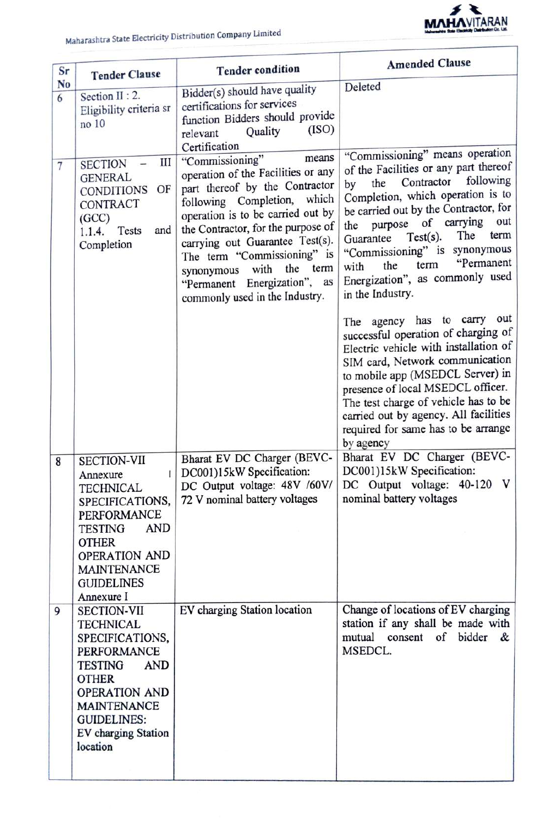

| Sr                  | <b>Tender Clause</b>                                                                                                                                                                                                                   | <b>Tender condition</b>                                                                                                                                                                                                                                                                                                                                                                | <b>Amended Clause</b>                                                                                                                                                                                                                                                                                                                                                                                          |
|---------------------|----------------------------------------------------------------------------------------------------------------------------------------------------------------------------------------------------------------------------------------|----------------------------------------------------------------------------------------------------------------------------------------------------------------------------------------------------------------------------------------------------------------------------------------------------------------------------------------------------------------------------------------|----------------------------------------------------------------------------------------------------------------------------------------------------------------------------------------------------------------------------------------------------------------------------------------------------------------------------------------------------------------------------------------------------------------|
| N <sub>0</sub><br>6 | Section II : 2.<br>Eligibility criteria sr<br>no 10                                                                                                                                                                                    | Bidder(s) should have quality<br>certifications for services<br>function Bidders should provide<br>(ISO)<br>Quality<br>relevant<br>Certification                                                                                                                                                                                                                                       | Deleted                                                                                                                                                                                                                                                                                                                                                                                                        |
| 7                   | III<br><b>SECTION</b><br><b>GENERAL</b><br>OF<br><b>CONDITIONS</b><br>CONTRACT<br>(GCC)<br>and<br>Tests<br>1.1.4.<br>Completion                                                                                                        | means<br>"Commissioning"<br>operation of the Facilities or any<br>part thereof by the Contractor<br>following Completion, which<br>operation is to be carried out by<br>the Contractor, for the purpose of<br>carrying out Guarantee Test(s).<br>The term "Commissioning" is<br>the<br>with<br>term<br>synonymous<br>"Permanent Energization",<br>as<br>commonly used in the Industry. | "Commissioning" means operation<br>of the Facilities or any part thereof<br>following<br>Contractor<br>the<br>by<br>Completion, which operation is to<br>be carried out by the Contractor, for<br>of carrying<br>out<br>purpose<br>the<br>The<br>term<br>$Test(s)$ .<br>Guarantee<br>"Commissioning" is synonymous<br>"Permanent<br>term<br>the<br>with<br>Energization", as commonly used<br>in the Industry. |
|                     |                                                                                                                                                                                                                                        |                                                                                                                                                                                                                                                                                                                                                                                        | The agency has to carry out<br>successful operation of charging of<br>Electric vehicle with installation of<br>SIM card, Network communication<br>to mobile app (MSEDCL Server) in<br>presence of local MSEDCL officer.<br>The test charge of vehicle has to be<br>carried out by agency. All facilities<br>required for same has to be arrange<br>by agency                                                   |
| 8                   | <b>SECTION-VII</b><br>L<br>Annexure<br><b>TECHNICAL</b><br>SPECIFICATIONS,<br><b>PERFORMANCE</b><br><b>AND</b><br><b>TESTING</b><br><b>OTHER</b><br>OPERATION AND<br><b>MAINTENANCE</b><br><b>GUIDELINES</b><br>Annexure I             | Bharat EV DC Charger (BEVC-<br>DC001)15kW Specification:<br>DC Output voltage: 48V /60V/<br>72 V nominal battery voltages                                                                                                                                                                                                                                                              | Bharat EV DC Charger (BEVC-<br>DC001)15kW Specification:<br>V<br>DC Output voltage: 40-120<br>nominal battery voltages                                                                                                                                                                                                                                                                                         |
| 9                   | <b>SECTION-VII</b><br><b>TECHNICAL</b><br>SPECIFICATIONS,<br>PERFORMANCE<br><b>TESTING</b><br><b>AND</b><br><b>OTHER</b><br><b>OPERATION AND</b><br><b>MAINTENANCE</b><br><b>GUIDELINES:</b><br><b>EV</b> charging Station<br>location | EV charging Station location                                                                                                                                                                                                                                                                                                                                                           | Change of locations of EV charging<br>station if any shall be made with<br>mutual consent of bidder &<br>MSEDCL.                                                                                                                                                                                                                                                                                               |